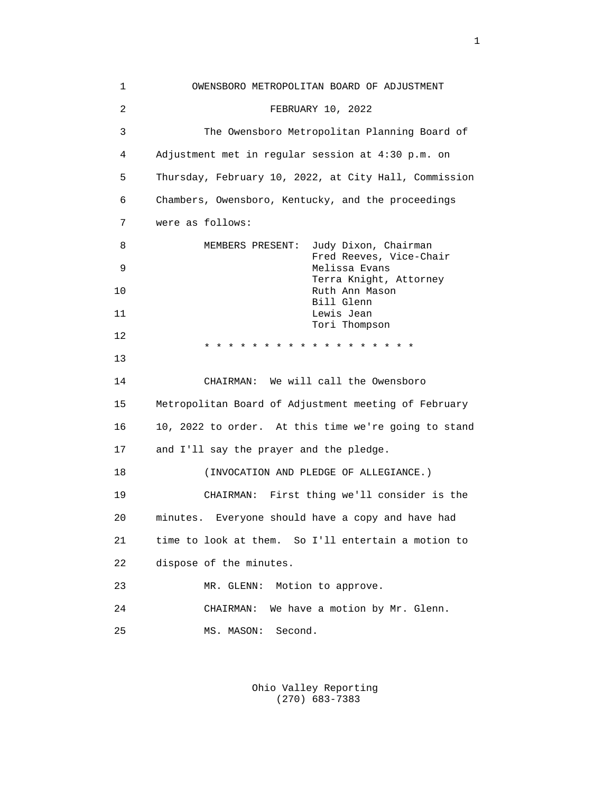1 OWENSBORO METROPOLITAN BOARD OF ADJUSTMENT 2 FEBRUARY 10, 2022 3 The Owensboro Metropolitan Planning Board of 4 Adjustment met in regular session at 4:30 p.m. on 5 Thursday, February 10, 2022, at City Hall, Commission 6 Chambers, Owensboro, Kentucky, and the proceedings 7 were as follows: 8 MEMBERS PRESENT: Judy Dixon, Chairman Fred Reeves, Vice-Chair<br>Melissa Evans Melissa Evans Terra Knight, Attorney Ruth Ann Mason Bill Glenn 11 Lewis Jean Tori Thompson 12 \* \* \* \* \* \* \* \* \* \* \* \* \* \* \* \* \* \* 13 14 CHAIRMAN: We will call the Owensboro 15 Metropolitan Board of Adjustment meeting of February 16 10, 2022 to order. At this time we're going to stand 17 and I'll say the prayer and the pledge. 18 (INVOCATION AND PLEDGE OF ALLEGIANCE.) 19 CHAIRMAN: First thing we'll consider is the 20 minutes. Everyone should have a copy and have had 21 time to look at them. So I'll entertain a motion to 22 dispose of the minutes. 23 MR. GLENN: Motion to approve. 24 CHAIRMAN: We have a motion by Mr. Glenn. 25 MS. MASON: Second.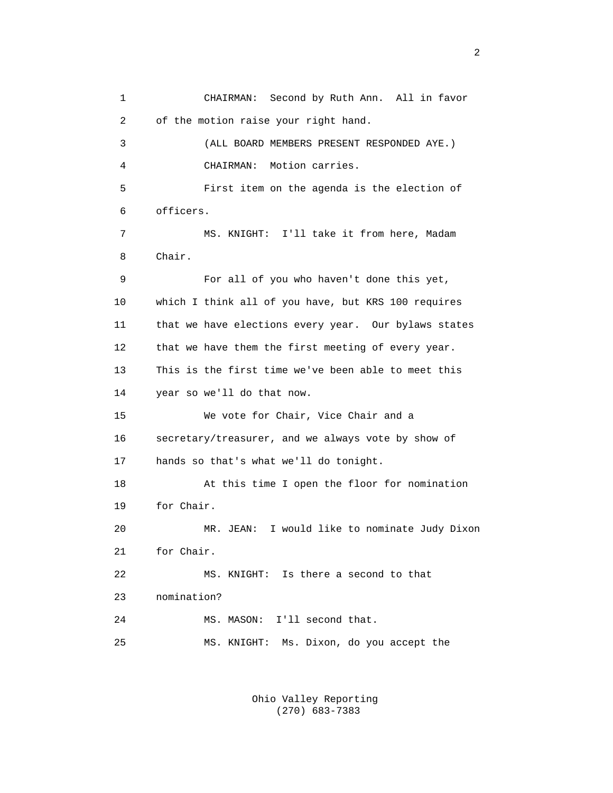1 CHAIRMAN: Second by Ruth Ann. All in favor 2 of the motion raise your right hand. 3 (ALL BOARD MEMBERS PRESENT RESPONDED AYE.) 4 CHAIRMAN: Motion carries. 5 First item on the agenda is the election of 6 officers. 7 MS. KNIGHT: I'll take it from here, Madam 8 Chair. 9 For all of you who haven't done this yet, 10 which I think all of you have, but KRS 100 requires 11 that we have elections every year. Our bylaws states 12 that we have them the first meeting of every year. 13 This is the first time we've been able to meet this 14 year so we'll do that now. 15 We vote for Chair, Vice Chair and a 16 secretary/treasurer, and we always vote by show of 17 hands so that's what we'll do tonight. 18 At this time I open the floor for nomination 19 for Chair. 20 MR. JEAN: I would like to nominate Judy Dixon 21 for Chair. 22 MS. KNIGHT: Is there a second to that 23 nomination? 24 MS. MASON: I'll second that. 25 MS. KNIGHT: Ms. Dixon, do you accept the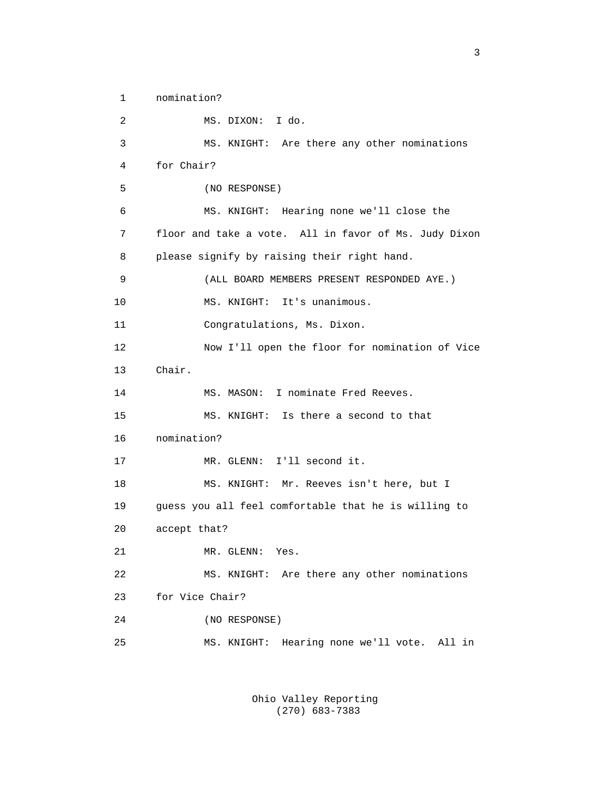1 nomination? 2 MS. DIXON: I do. 3 MS. KNIGHT: Are there any other nominations 4 for Chair? 5 (NO RESPONSE) 6 MS. KNIGHT: Hearing none we'll close the 7 floor and take a vote. All in favor of Ms. Judy Dixon 8 please signify by raising their right hand. 9 (ALL BOARD MEMBERS PRESENT RESPONDED AYE.) 10 MS. KNIGHT: It's unanimous. 11 Congratulations, Ms. Dixon. 12 Now I'll open the floor for nomination of Vice 13 Chair. 14 MS. MASON: I nominate Fred Reeves. 15 MS. KNIGHT: Is there a second to that 16 nomination? 17 MR. GLENN: I'll second it. 18 MS. KNIGHT: Mr. Reeves isn't here, but I 19 guess you all feel comfortable that he is willing to 20 accept that? 21 MR. GLENN: Yes. 22 MS. KNIGHT: Are there any other nominations 23 for Vice Chair? 24 (NO RESPONSE) 25 MS. KNIGHT: Hearing none we'll vote. All in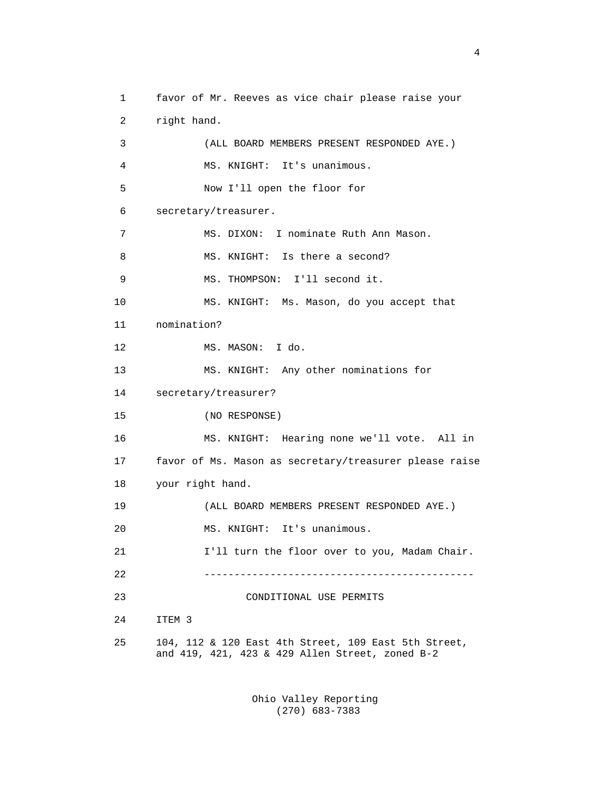1 favor of Mr. Reeves as vice chair please raise your 2 right hand. 3 (ALL BOARD MEMBERS PRESENT RESPONDED AYE.) 4 MS. KNIGHT: It's unanimous. 5 Now I'll open the floor for 6 secretary/treasurer. 7 MS. DIXON: I nominate Ruth Ann Mason. 8 MS. KNIGHT: Is there a second? 9 MS. THOMPSON: I'll second it. 10 MS. KNIGHT: Ms. Mason, do you accept that 11 nomination? 12 MS. MASON: I do. 13 MS. KNIGHT: Any other nominations for 14 secretary/treasurer? 15 (NO RESPONSE) 16 MS. KNIGHT: Hearing none we'll vote. All in 17 favor of Ms. Mason as secretary/treasurer please raise 18 your right hand. 19 (ALL BOARD MEMBERS PRESENT RESPONDED AYE.) 20 MS. KNIGHT: It's unanimous. 21 I'll turn the floor over to you, Madam Chair. 22 --------------------------------------------- 23 CONDITIONAL USE PERMITS 24 ITEM 3 25 104, 112 & 120 East 4th Street, 109 East 5th Street, and 419, 421, 423 & 429 Allen Street, zoned B-2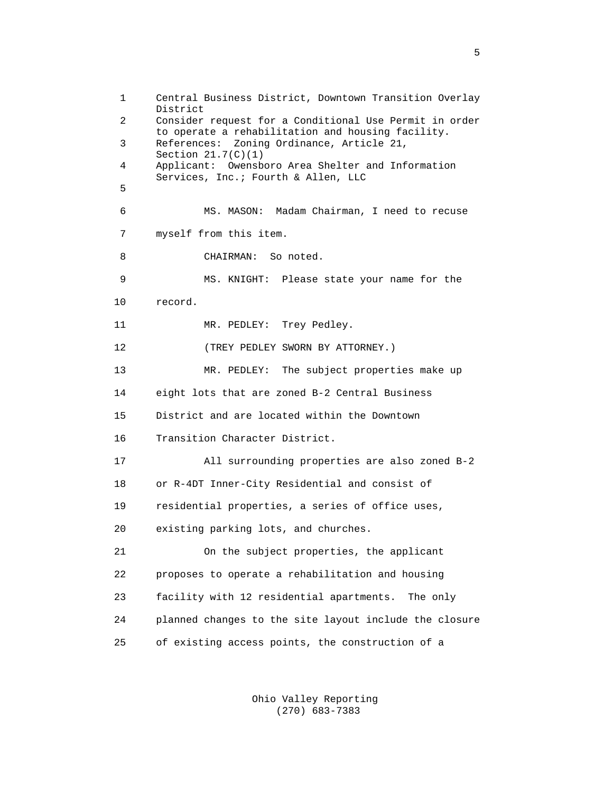1 Central Business District, Downtown Transition Overlay District 2 Consider request for a Conditional Use Permit in order to operate a rehabilitation and housing facility.<br>References: Zoning Ordinance, Article 21, References: Zoning Ordinance, Article 21, Section 21.7(C)(1)<br>4 Applicant: Owensh 4 Applicant: Owensboro Area Shelter and Information Services, Inc.; Fourth & Allen, LLC<br>5 5 6 MS. MASON: Madam Chairman, I need to recuse 7 myself from this item. 8 CHAIRMAN: So noted. 9 MS. KNIGHT: Please state your name for the 10 record. 11 MR. PEDLEY: Trey Pedley. 12 (TREY PEDLEY SWORN BY ATTORNEY.) 13 MR. PEDLEY: The subject properties make up 14 eight lots that are zoned B-2 Central Business 15 District and are located within the Downtown 16 Transition Character District. 17 All surrounding properties are also zoned B-2 18 or R-4DT Inner-City Residential and consist of 19 residential properties, a series of office uses, 20 existing parking lots, and churches. 21 On the subject properties, the applicant 22 proposes to operate a rehabilitation and housing 23 facility with 12 residential apartments. The only 24 planned changes to the site layout include the closure 25 of existing access points, the construction of a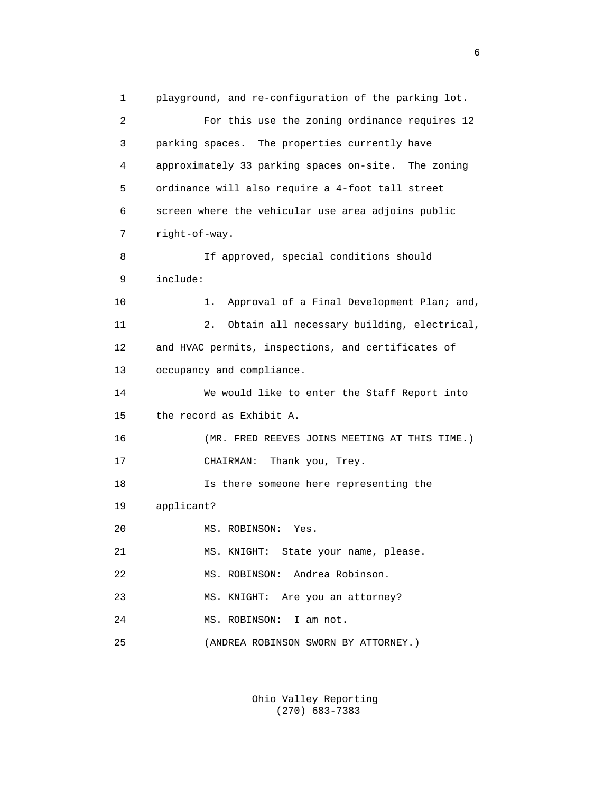1 playground, and re-configuration of the parking lot. 2 For this use the zoning ordinance requires 12 3 parking spaces. The properties currently have 4 approximately 33 parking spaces on-site. The zoning 5 ordinance will also require a 4-foot tall street 6 screen where the vehicular use area adjoins public 7 right-of-way. 8 If approved, special conditions should 9 include: 10 1. Approval of a Final Development Plan; and, 11 2. Obtain all necessary building, electrical, 12 and HVAC permits, inspections, and certificates of 13 occupancy and compliance. 14 We would like to enter the Staff Report into 15 the record as Exhibit A. 16 (MR. FRED REEVES JOINS MEETING AT THIS TIME.) 17 CHAIRMAN: Thank you, Trey. 18 Is there someone here representing the 19 applicant? 20 MS. ROBINSON: Yes. 21 MS. KNIGHT: State your name, please. 22 MS. ROBINSON: Andrea Robinson. 23 MS. KNIGHT: Are you an attorney? 24 MS. ROBINSON: I am not. 25 (ANDREA ROBINSON SWORN BY ATTORNEY.)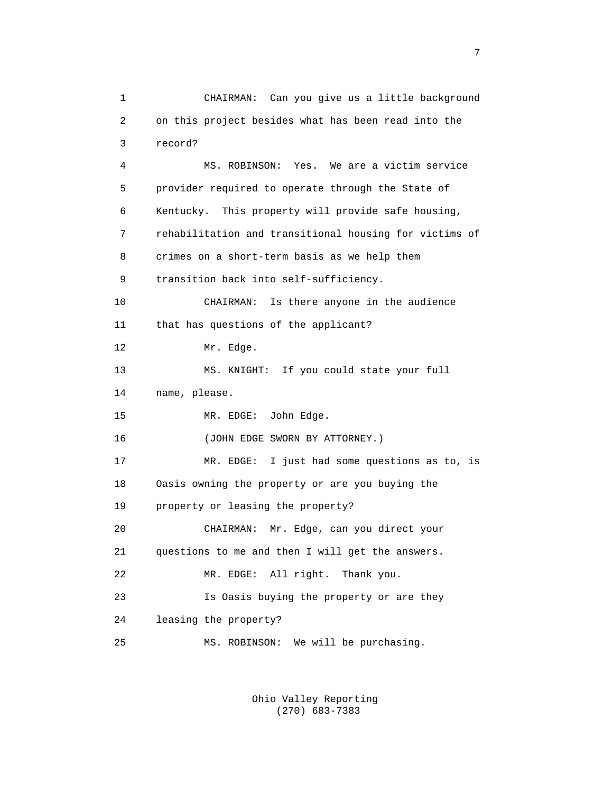1 CHAIRMAN: Can you give us a little background 2 on this project besides what has been read into the 3 record? 4 MS. ROBINSON: Yes. We are a victim service 5 provider required to operate through the State of 6 Kentucky. This property will provide safe housing, 7 rehabilitation and transitional housing for victims of 8 crimes on a short-term basis as we help them 9 transition back into self-sufficiency. 10 CHAIRMAN: Is there anyone in the audience 11 that has questions of the applicant? 12 Mr. Edge. 13 MS. KNIGHT: If you could state your full 14 name, please. 15 MR. EDGE: John Edge. 16 (JOHN EDGE SWORN BY ATTORNEY.) 17 MR. EDGE: I just had some questions as to, is 18 Oasis owning the property or are you buying the 19 property or leasing the property? 20 CHAIRMAN: Mr. Edge, can you direct your 21 questions to me and then I will get the answers. 22 MR. EDGE: All right. Thank you. 23 Is Oasis buying the property or are they 24 leasing the property? 25 MS. ROBINSON: We will be purchasing.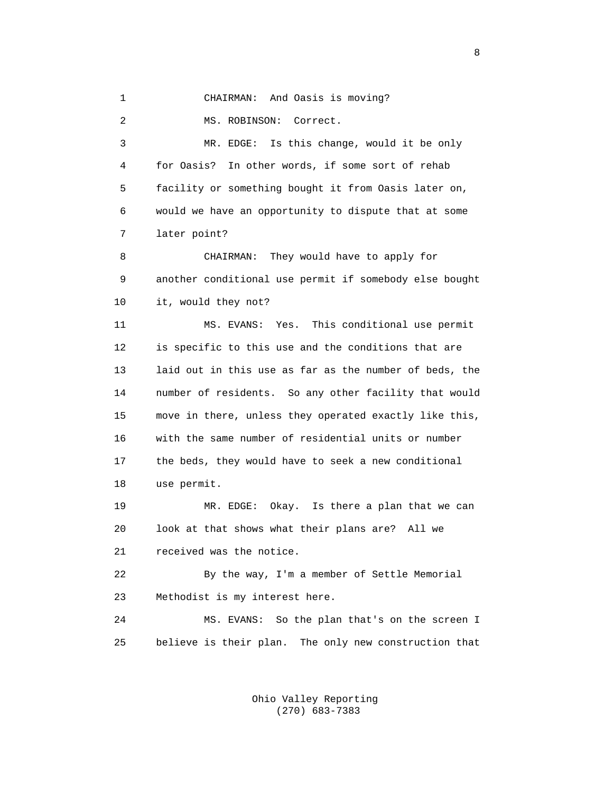1 CHAIRMAN: And Oasis is moving?

2 MS. ROBINSON: Correct.

 3 MR. EDGE: Is this change, would it be only 4 for Oasis? In other words, if some sort of rehab 5 facility or something bought it from Oasis later on, 6 would we have an opportunity to dispute that at some 7 later point? 8 CHAIRMAN: They would have to apply for 9 another conditional use permit if somebody else bought 10 it, would they not? 11 MS. EVANS: Yes. This conditional use permit 12 is specific to this use and the conditions that are 13 laid out in this use as far as the number of beds, the 14 number of residents. So any other facility that would 15 move in there, unless they operated exactly like this, 16 with the same number of residential units or number 17 the beds, they would have to seek a new conditional 18 use permit. 19 MR. EDGE: Okay. Is there a plan that we can

 20 look at that shows what their plans are? All we 21 received was the notice.

 22 By the way, I'm a member of Settle Memorial 23 Methodist is my interest here.

 24 MS. EVANS: So the plan that's on the screen I 25 believe is their plan. The only new construction that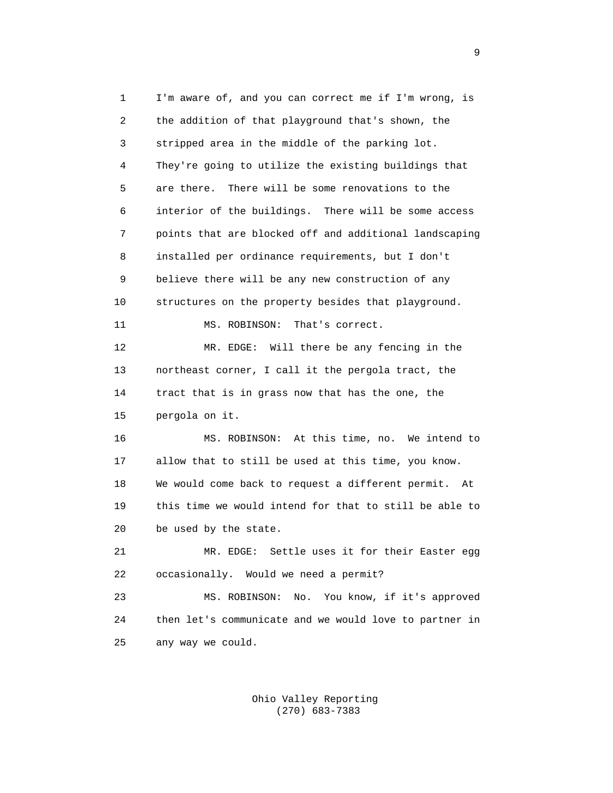1 I'm aware of, and you can correct me if I'm wrong, is 2 the addition of that playground that's shown, the 3 stripped area in the middle of the parking lot. 4 They're going to utilize the existing buildings that 5 are there. There will be some renovations to the 6 interior of the buildings. There will be some access 7 points that are blocked off and additional landscaping 8 installed per ordinance requirements, but I don't 9 believe there will be any new construction of any 10 structures on the property besides that playground. 11 MS. ROBINSON: That's correct. 12 MR. EDGE: Will there be any fencing in the 13 northeast corner, I call it the pergola tract, the 14 tract that is in grass now that has the one, the 15 pergola on it. 16 MS. ROBINSON: At this time, no. We intend to 17 allow that to still be used at this time, you know. 18 We would come back to request a different permit. At 19 this time we would intend for that to still be able to 20 be used by the state. 21 MR. EDGE: Settle uses it for their Easter egg 22 occasionally. Would we need a permit? 23 MS. ROBINSON: No. You know, if it's approved 24 then let's communicate and we would love to partner in 25 any way we could.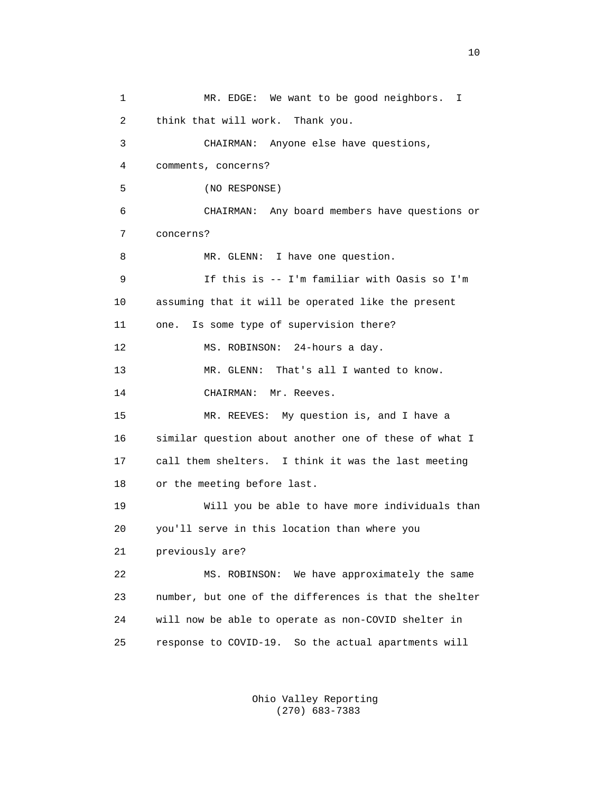1 MR. EDGE: We want to be good neighbors. I 2 think that will work. Thank you. 3 CHAIRMAN: Anyone else have questions, 4 comments, concerns? 5 (NO RESPONSE) 6 CHAIRMAN: Any board members have questions or 7 concerns? 8 MR. GLENN: I have one question. 9 If this is -- I'm familiar with Oasis so I'm 10 assuming that it will be operated like the present 11 one. Is some type of supervision there? 12 MS. ROBINSON: 24-hours a day. 13 MR. GLENN: That's all I wanted to know. 14 CHAIRMAN: Mr. Reeves. 15 MR. REEVES: My question is, and I have a 16 similar question about another one of these of what I 17 call them shelters. I think it was the last meeting 18 or the meeting before last. 19 Will you be able to have more individuals than 20 you'll serve in this location than where you 21 previously are? 22 MS. ROBINSON: We have approximately the same 23 number, but one of the differences is that the shelter 24 will now be able to operate as non-COVID shelter in 25 response to COVID-19. So the actual apartments will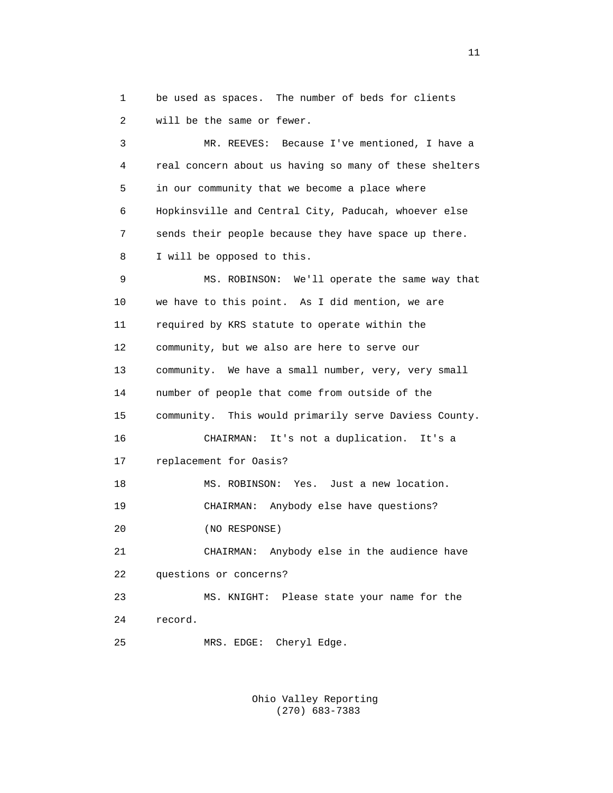1 be used as spaces. The number of beds for clients 2 will be the same or fewer.

 3 MR. REEVES: Because I've mentioned, I have a 4 real concern about us having so many of these shelters 5 in our community that we become a place where 6 Hopkinsville and Central City, Paducah, whoever else 7 sends their people because they have space up there. 8 I will be opposed to this. 9 MS. ROBINSON: We'll operate the same way that 10 we have to this point. As I did mention, we are 11 required by KRS statute to operate within the 12 community, but we also are here to serve our 13 community. We have a small number, very, very small 14 number of people that come from outside of the 15 community. This would primarily serve Daviess County. 16 CHAIRMAN: It's not a duplication. It's a 17 replacement for Oasis? 18 MS. ROBINSON: Yes. Just a new location. 19 CHAIRMAN: Anybody else have questions? 20 (NO RESPONSE) 21 CHAIRMAN: Anybody else in the audience have 22 questions or concerns? 23 MS. KNIGHT: Please state your name for the 24 record. 25 MRS. EDGE: Cheryl Edge.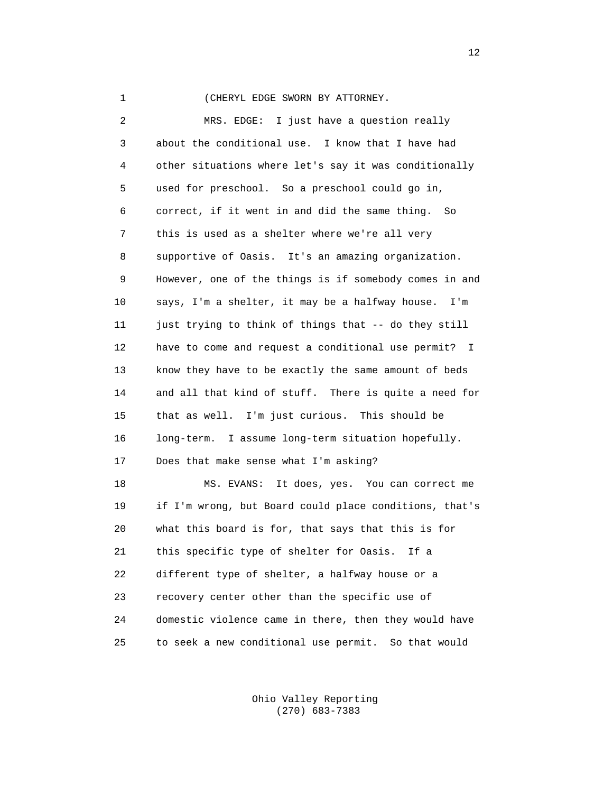## 1 (CHERYL EDGE SWORN BY ATTORNEY.

 2 MRS. EDGE: I just have a question really 3 about the conditional use. I know that I have had 4 other situations where let's say it was conditionally 5 used for preschool. So a preschool could go in, 6 correct, if it went in and did the same thing. So 7 this is used as a shelter where we're all very 8 supportive of Oasis. It's an amazing organization. 9 However, one of the things is if somebody comes in and 10 says, I'm a shelter, it may be a halfway house. I'm 11 just trying to think of things that -- do they still 12 have to come and request a conditional use permit? I 13 know they have to be exactly the same amount of beds 14 and all that kind of stuff. There is quite a need for 15 that as well. I'm just curious. This should be 16 long-term. I assume long-term situation hopefully. 17 Does that make sense what I'm asking? 18 MS. EVANS: It does, yes. You can correct me 19 if I'm wrong, but Board could place conditions, that's 20 what this board is for, that says that this is for 21 this specific type of shelter for Oasis. If a 22 different type of shelter, a halfway house or a 23 recovery center other than the specific use of 24 domestic violence came in there, then they would have

> Ohio Valley Reporting (270) 683-7383

25 to seek a new conditional use permit. So that would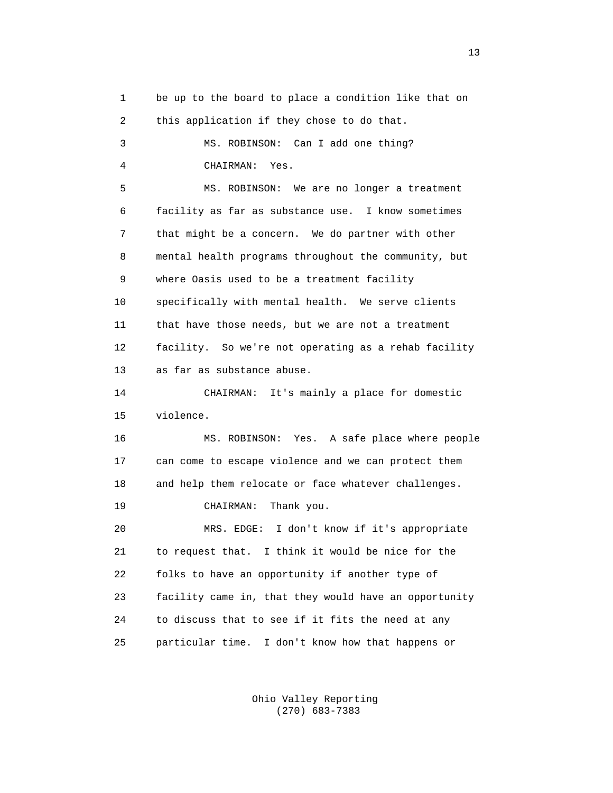1 be up to the board to place a condition like that on 2 this application if they chose to do that. 3 MS. ROBINSON: Can I add one thing? 4 CHAIRMAN: Yes. 5 MS. ROBINSON: We are no longer a treatment 6 facility as far as substance use. I know sometimes 7 that might be a concern. We do partner with other 8 mental health programs throughout the community, but 9 where Oasis used to be a treatment facility 10 specifically with mental health. We serve clients 11 that have those needs, but we are not a treatment 12 facility. So we're not operating as a rehab facility 13 as far as substance abuse. 14 CHAIRMAN: It's mainly a place for domestic 15 violence. 16 MS. ROBINSON: Yes. A safe place where people 17 can come to escape violence and we can protect them 18 and help them relocate or face whatever challenges. 19 CHAIRMAN: Thank you. 20 MRS. EDGE: I don't know if it's appropriate 21 to request that. I think it would be nice for the 22 folks to have an opportunity if another type of 23 facility came in, that they would have an opportunity 24 to discuss that to see if it fits the need at any 25 particular time. I don't know how that happens or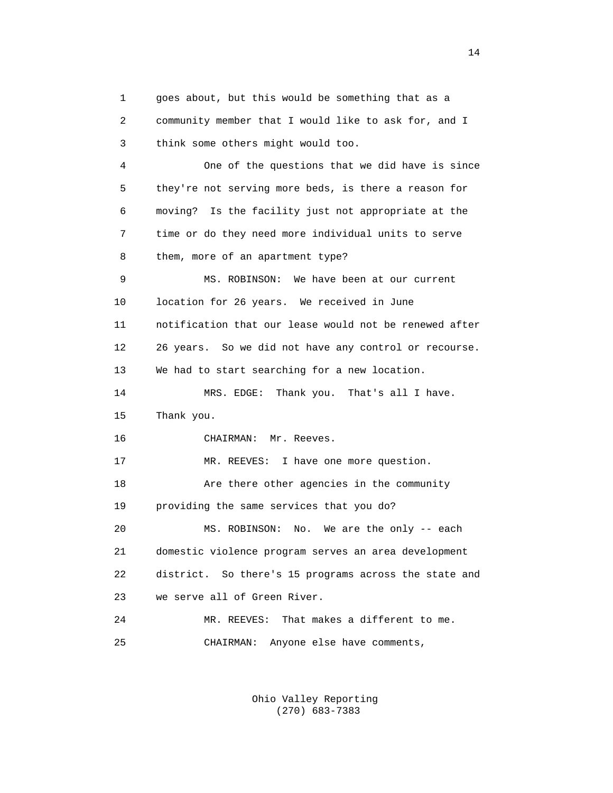1 goes about, but this would be something that as a 2 community member that I would like to ask for, and I 3 think some others might would too. 4 One of the questions that we did have is since 5 they're not serving more beds, is there a reason for 6 moving? Is the facility just not appropriate at the 7 time or do they need more individual units to serve 8 them, more of an apartment type? 9 MS. ROBINSON: We have been at our current 10 location for 26 years. We received in June 11 notification that our lease would not be renewed after 12 26 years. So we did not have any control or recourse. 13 We had to start searching for a new location. 14 MRS. EDGE: Thank you. That's all I have. 15 Thank you. 16 CHAIRMAN: Mr. Reeves. 17 MR. REEVES: I have one more question. 18 Are there other agencies in the community 19 providing the same services that you do? 20 MS. ROBINSON: No. We are the only -- each 21 domestic violence program serves an area development 22 district. So there's 15 programs across the state and 23 we serve all of Green River. 24 MR. REEVES: That makes a different to me. 25 CHAIRMAN: Anyone else have comments,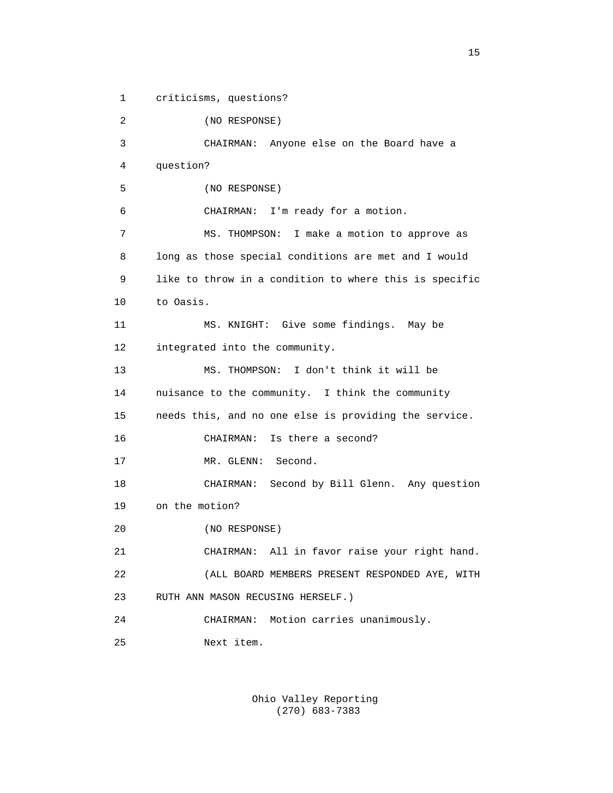1 criticisms, questions? 2 (NO RESPONSE) 3 CHAIRMAN: Anyone else on the Board have a 4 question? 5 (NO RESPONSE) 6 CHAIRMAN: I'm ready for a motion. 7 MS. THOMPSON: I make a motion to approve as 8 long as those special conditions are met and I would 9 like to throw in a condition to where this is specific 10 to Oasis. 11 MS. KNIGHT: Give some findings. May be 12 integrated into the community. 13 MS. THOMPSON: I don't think it will be 14 nuisance to the community. I think the community 15 needs this, and no one else is providing the service. 16 CHAIRMAN: Is there a second? 17 MR. GLENN: Second. 18 CHAIRMAN: Second by Bill Glenn. Any question 19 on the motion? 20 (NO RESPONSE) 21 CHAIRMAN: All in favor raise your right hand. 22 (ALL BOARD MEMBERS PRESENT RESPONDED AYE, WITH 23 RUTH ANN MASON RECUSING HERSELF.) 24 CHAIRMAN: Motion carries unanimously. 25 Next item.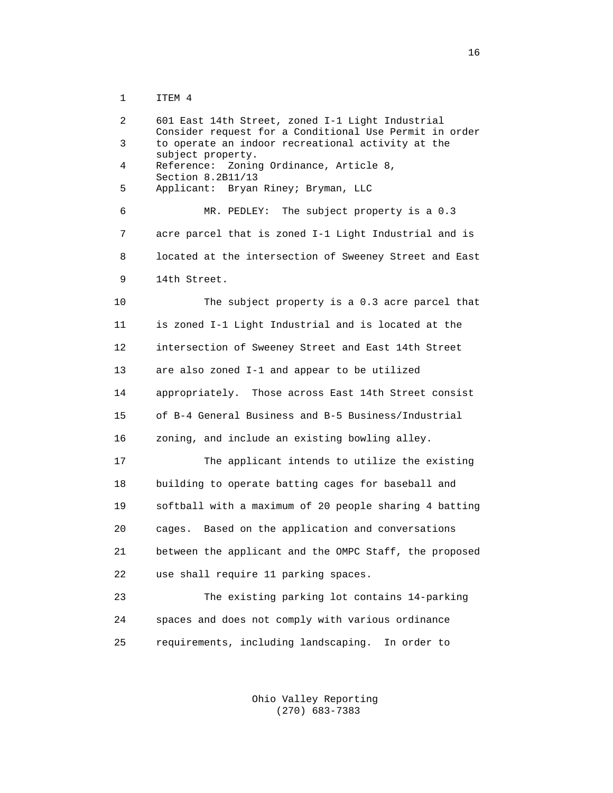1 ITEM 4

 2 601 East 14th Street, zoned I-1 Light Industrial Consider request for a Conditional Use Permit in order<br>3 to operate an indoor recreational activity at the to operate an indoor recreational activity at the subject property.<br>4 Reference: Zonin Reference: Zoning Ordinance, Article 8, Section 8.2B11/13<br>5 Applicant: Brvan 5 Applicant: Bryan Riney; Bryman, LLC 6 MR. PEDLEY: The subject property is a 0.3 7 acre parcel that is zoned I-1 Light Industrial and is 8 located at the intersection of Sweeney Street and East 9 14th Street. 10 The subject property is a 0.3 acre parcel that 11 is zoned I-1 Light Industrial and is located at the 12 intersection of Sweeney Street and East 14th Street 13 are also zoned I-1 and appear to be utilized 14 appropriately. Those across East 14th Street consist 15 of B-4 General Business and B-5 Business/Industrial 16 zoning, and include an existing bowling alley. 17 The applicant intends to utilize the existing 18 building to operate batting cages for baseball and 19 softball with a maximum of 20 people sharing 4 batting 20 cages. Based on the application and conversations 21 between the applicant and the OMPC Staff, the proposed 22 use shall require 11 parking spaces. 23 The existing parking lot contains 14-parking 24 spaces and does not comply with various ordinance 25 requirements, including landscaping. In order to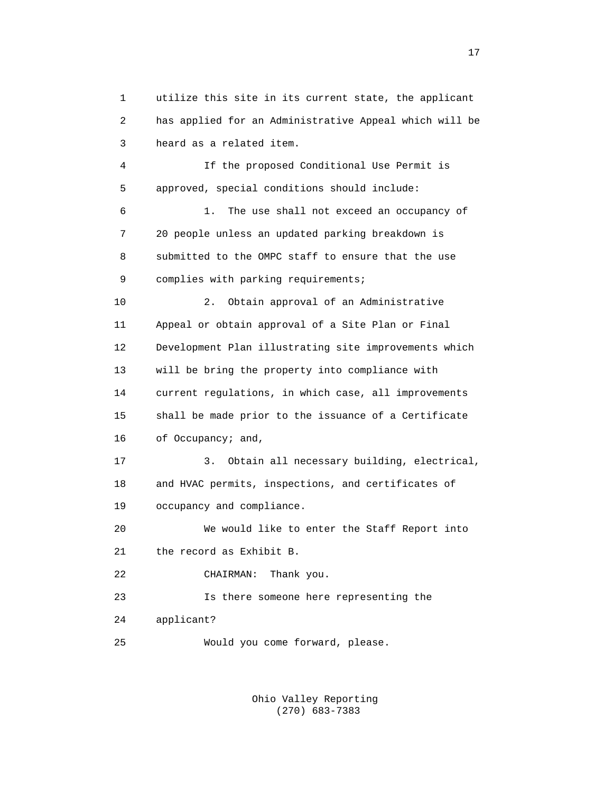1 utilize this site in its current state, the applicant 2 has applied for an Administrative Appeal which will be 3 heard as a related item.

 4 If the proposed Conditional Use Permit is 5 approved, special conditions should include: 6 1. The use shall not exceed an occupancy of 7 20 people unless an updated parking breakdown is 8 submitted to the OMPC staff to ensure that the use 9 complies with parking requirements; 10 2. Obtain approval of an Administrative 11 Appeal or obtain approval of a Site Plan or Final 12 Development Plan illustrating site improvements which 13 will be bring the property into compliance with 14 current regulations, in which case, all improvements 15 shall be made prior to the issuance of a Certificate 16 of Occupancy; and, 17 3. Obtain all necessary building, electrical, 18 and HVAC permits, inspections, and certificates of 19 occupancy and compliance. 20 We would like to enter the Staff Report into 21 the record as Exhibit B. 22 CHAIRMAN: Thank you. 23 Is there someone here representing the

24 applicant?

25 Would you come forward, please.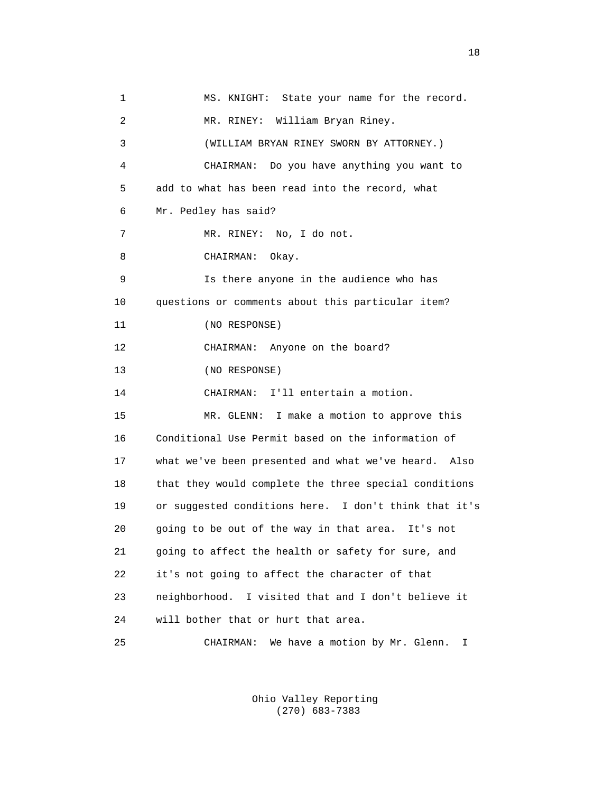1 MS. KNIGHT: State your name for the record. 2 MR. RINEY: William Bryan Riney. 3 (WILLIAM BRYAN RINEY SWORN BY ATTORNEY.) 4 CHAIRMAN: Do you have anything you want to 5 add to what has been read into the record, what 6 Mr. Pedley has said? 7 MR. RINEY: No, I do not. 8 CHAIRMAN: Okay. 9 Is there anyone in the audience who has 10 questions or comments about this particular item? 11 (NO RESPONSE) 12 CHAIRMAN: Anyone on the board? 13 (NO RESPONSE) 14 CHAIRMAN: I'll entertain a motion. 15 MR. GLENN: I make a motion to approve this 16 Conditional Use Permit based on the information of 17 what we've been presented and what we've heard. Also 18 that they would complete the three special conditions 19 or suggested conditions here. I don't think that it's 20 going to be out of the way in that area. It's not 21 going to affect the health or safety for sure, and 22 it's not going to affect the character of that 23 neighborhood. I visited that and I don't believe it 24 will bother that or hurt that area. 25 CHAIRMAN: We have a motion by Mr. Glenn. I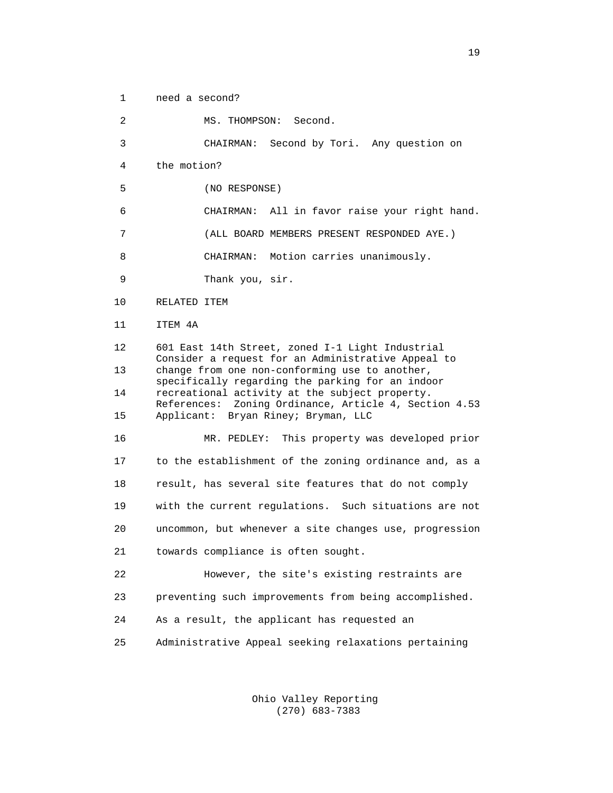1 need a second? 2 MS. THOMPSON: Second. 3 CHAIRMAN: Second by Tori. Any question on 4 the motion? 5 (NO RESPONSE) 6 CHAIRMAN: All in favor raise your right hand. 7 (ALL BOARD MEMBERS PRESENT RESPONDED AYE.) 8 CHAIRMAN: Motion carries unanimously. 9 Thank you, sir. 10 RELATED ITEM 11 ITEM 4A 12 601 East 14th Street, zoned I-1 Light Industrial Consider a request for an Administrative Appeal to<br>13 change from one non-conforming use to another, change from one non-conforming use to another, specifically regarding the parking for an indoor<br>14 Tecreational activity at the subject property. recreational activity at the subject property. References: Zoning Ordinance, Article 4, Section 4.53<br>15 Applicant: Bryan Riney; Bryman, LLC 15 Applicant: Bryan Riney; Bryman, LLC 16 MR. PEDLEY: This property was developed prior 17 to the establishment of the zoning ordinance and, as a 18 result, has several site features that do not comply 19 with the current regulations. Such situations are not 20 uncommon, but whenever a site changes use, progression 21 towards compliance is often sought. 22 However, the site's existing restraints are 23 preventing such improvements from being accomplished. 24 As a result, the applicant has requested an 25 Administrative Appeal seeking relaxations pertaining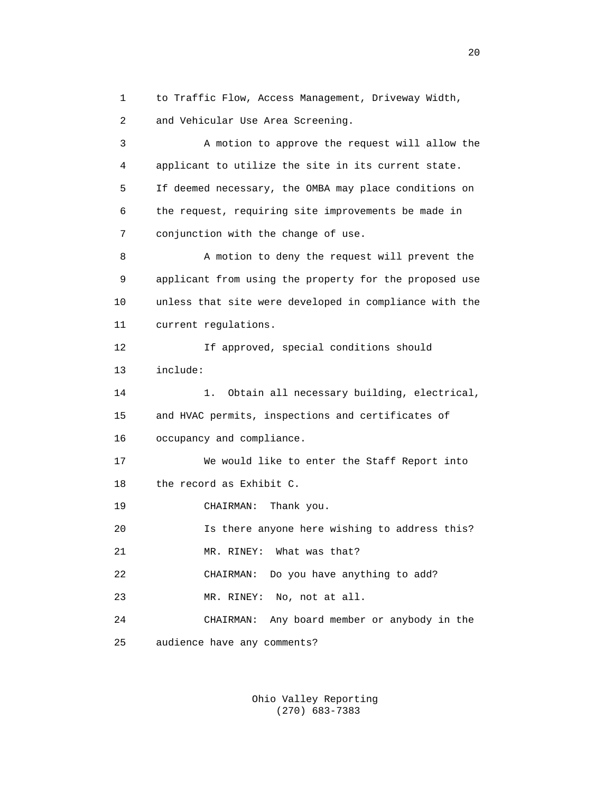1 to Traffic Flow, Access Management, Driveway Width, 2 and Vehicular Use Area Screening.

 3 A motion to approve the request will allow the 4 applicant to utilize the site in its current state. 5 If deemed necessary, the OMBA may place conditions on 6 the request, requiring site improvements be made in 7 conjunction with the change of use. 8 A motion to deny the request will prevent the 9 applicant from using the property for the proposed use 10 unless that site were developed in compliance with the 11 current regulations. 12 If approved, special conditions should 13 include: 14 1. Obtain all necessary building, electrical, 15 and HVAC permits, inspections and certificates of 16 occupancy and compliance. 17 We would like to enter the Staff Report into 18 the record as Exhibit C. 19 CHAIRMAN: Thank you. 20 Is there anyone here wishing to address this? 21 MR. RINEY: What was that? 22 CHAIRMAN: Do you have anything to add? 23 MR. RINEY: No, not at all. 24 CHAIRMAN: Any board member or anybody in the 25 audience have any comments?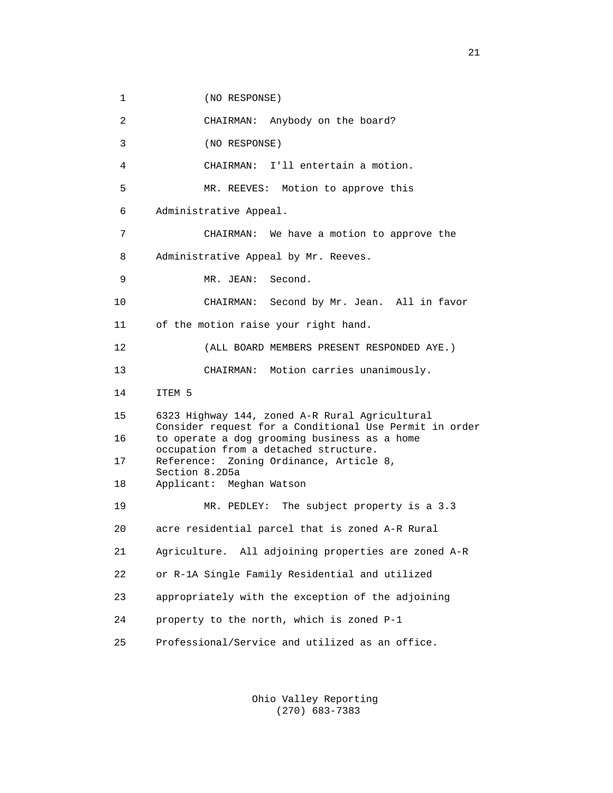1 (NO RESPONSE)

 2 CHAIRMAN: Anybody on the board? 3 (NO RESPONSE) 4 CHAIRMAN: I'll entertain a motion. 5 MR. REEVES: Motion to approve this 6 Administrative Appeal. 7 CHAIRMAN: We have a motion to approve the 8 Administrative Appeal by Mr. Reeves. 9 MR. JEAN: Second. 10 CHAIRMAN: Second by Mr. Jean. All in favor 11 of the motion raise your right hand. 12 (ALL BOARD MEMBERS PRESENT RESPONDED AYE.) 13 CHAIRMAN: Motion carries unanimously. 14 ITEM 5 15 6323 Highway 144, zoned A-R Rural Agricultural Consider request for a Conditional Use Permit in order<br>16 to operate a dog grooming business as a home to operate a dog grooming business as a home occupation from a detached structure.<br>17 Reference: Zoning Ordinance, Article Reference: Zoning Ordinance, Article 8, Section 8.2D5a<br>18 Applicant: Me 18 Applicant: Meghan Watson 19 MR. PEDLEY: The subject property is a 3.3 20 acre residential parcel that is zoned A-R Rural 21 Agriculture. All adjoining properties are zoned A-R 22 or R-1A Single Family Residential and utilized 23 appropriately with the exception of the adjoining 24 property to the north, which is zoned P-1 25 Professional/Service and utilized as an office.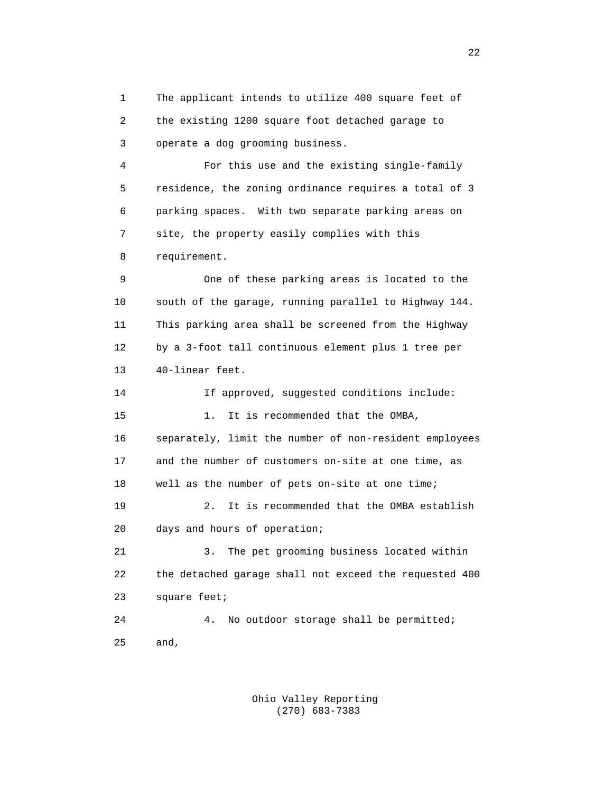1 The applicant intends to utilize 400 square feet of 2 the existing 1200 square foot detached garage to 3 operate a dog grooming business.

 4 For this use and the existing single-family 5 residence, the zoning ordinance requires a total of 3 6 parking spaces. With two separate parking areas on 7 site, the property easily complies with this 8 requirement.

 9 One of these parking areas is located to the 10 south of the garage, running parallel to Highway 144. 11 This parking area shall be screened from the Highway 12 by a 3-foot tall continuous element plus 1 tree per 13 40-linear feet.

 14 If approved, suggested conditions include: 15 1. It is recommended that the OMBA, 16 separately, limit the number of non-resident employees 17 and the number of customers on-site at one time, as 18 well as the number of pets on-site at one time; 19 2. It is recommended that the OMBA establish 20 days and hours of operation; 21 3. The pet grooming business located within 22 the detached garage shall not exceed the requested 400 23 square feet; 24 4. No outdoor storage shall be permitted; 25 and,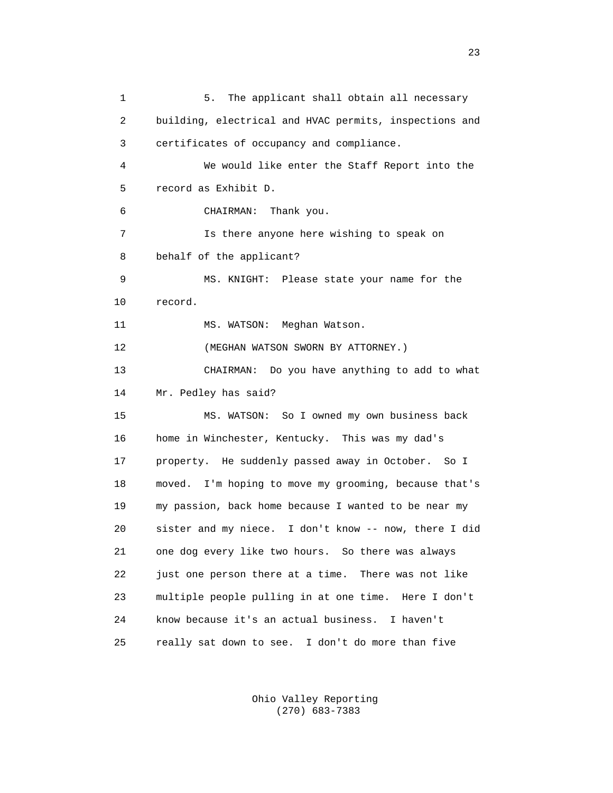1 5. The applicant shall obtain all necessary 2 building, electrical and HVAC permits, inspections and 3 certificates of occupancy and compliance. 4 We would like enter the Staff Report into the 5 record as Exhibit D. 6 CHAIRMAN: Thank you. 7 Is there anyone here wishing to speak on 8 behalf of the applicant? 9 MS. KNIGHT: Please state your name for the 10 record. 11 MS. WATSON: Meghan Watson. 12 (MEGHAN WATSON SWORN BY ATTORNEY.) 13 CHAIRMAN: Do you have anything to add to what 14 Mr. Pedley has said? 15 MS. WATSON: So I owned my own business back 16 home in Winchester, Kentucky. This was my dad's 17 property. He suddenly passed away in October. So I 18 moved. I'm hoping to move my grooming, because that's 19 my passion, back home because I wanted to be near my 20 sister and my niece. I don't know -- now, there I did 21 one dog every like two hours. So there was always 22 just one person there at a time. There was not like 23 multiple people pulling in at one time. Here I don't 24 know because it's an actual business. I haven't 25 really sat down to see. I don't do more than five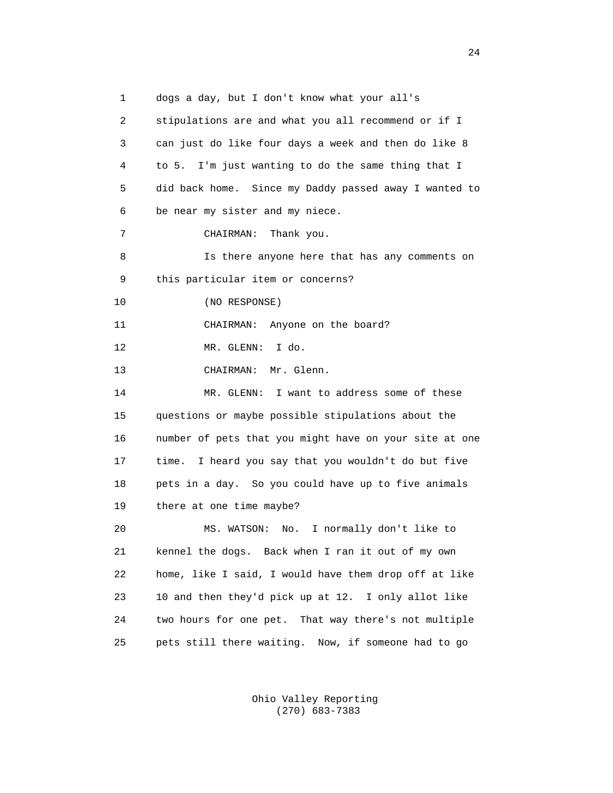1 dogs a day, but I don't know what your all's 2 stipulations are and what you all recommend or if I 3 can just do like four days a week and then do like 8 4 to 5. I'm just wanting to do the same thing that I 5 did back home. Since my Daddy passed away I wanted to 6 be near my sister and my niece. 7 CHAIRMAN: Thank you. 8 Is there anyone here that has any comments on 9 this particular item or concerns? 10 (NO RESPONSE) 11 CHAIRMAN: Anyone on the board? 12 MR. GLENN: I do. 13 CHAIRMAN: Mr. Glenn. 14 MR. GLENN: I want to address some of these 15 questions or maybe possible stipulations about the 16 number of pets that you might have on your site at one 17 time. I heard you say that you wouldn't do but five 18 pets in a day. So you could have up to five animals 19 there at one time maybe? 20 MS. WATSON: No. I normally don't like to 21 kennel the dogs. Back when I ran it out of my own 22 home, like I said, I would have them drop off at like 23 10 and then they'd pick up at 12. I only allot like 24 two hours for one pet. That way there's not multiple 25 pets still there waiting. Now, if someone had to go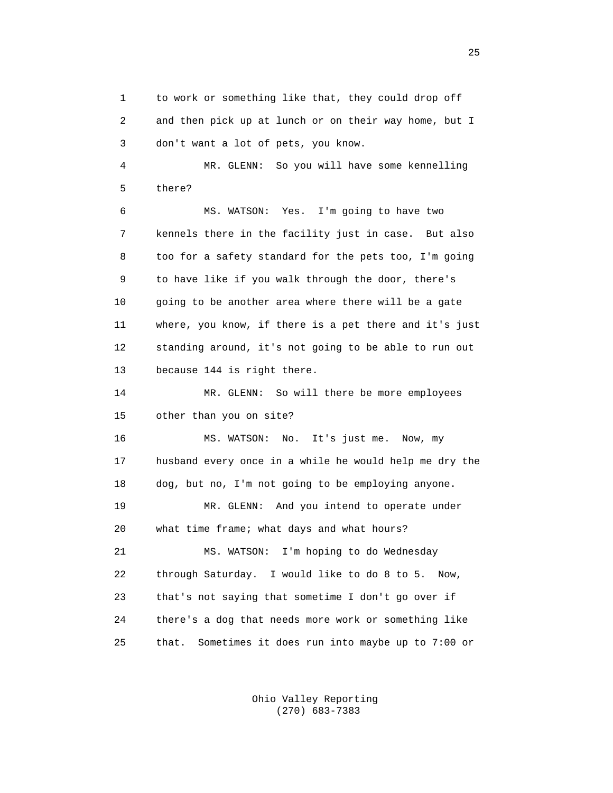1 to work or something like that, they could drop off 2 and then pick up at lunch or on their way home, but I 3 don't want a lot of pets, you know.

 4 MR. GLENN: So you will have some kennelling 5 there?

 6 MS. WATSON: Yes. I'm going to have two 7 kennels there in the facility just in case. But also 8 too for a safety standard for the pets too, I'm going 9 to have like if you walk through the door, there's 10 going to be another area where there will be a gate 11 where, you know, if there is a pet there and it's just 12 standing around, it's not going to be able to run out 13 because 144 is right there.

 14 MR. GLENN: So will there be more employees 15 other than you on site?

 16 MS. WATSON: No. It's just me. Now, my 17 husband every once in a while he would help me dry the 18 dog, but no, I'm not going to be employing anyone. 19 MR. GLENN: And you intend to operate under 20 what time frame; what days and what hours? 21 MS. WATSON: I'm hoping to do Wednesday 22 through Saturday. I would like to do 8 to 5. Now, 23 that's not saying that sometime I don't go over if 24 there's a dog that needs more work or something like 25 that. Sometimes it does run into maybe up to 7:00 or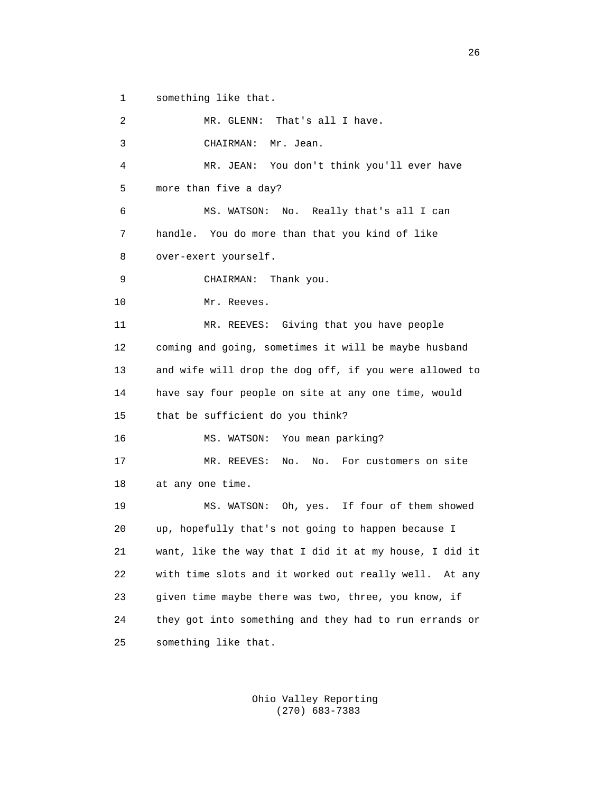1 something like that.

 2 MR. GLENN: That's all I have. 3 CHAIRMAN: Mr. Jean. 4 MR. JEAN: You don't think you'll ever have 5 more than five a day? 6 MS. WATSON: No. Really that's all I can 7 handle. You do more than that you kind of like 8 over-exert yourself. 9 CHAIRMAN: Thank you. 10 Mr. Reeves. 11 MR. REEVES: Giving that you have people 12 coming and going, sometimes it will be maybe husband 13 and wife will drop the dog off, if you were allowed to 14 have say four people on site at any one time, would 15 that be sufficient do you think? 16 MS. WATSON: You mean parking? 17 MR. REEVES: No. No. For customers on site 18 at any one time. 19 MS. WATSON: Oh, yes. If four of them showed 20 up, hopefully that's not going to happen because I 21 want, like the way that I did it at my house, I did it 22 with time slots and it worked out really well. At any 23 given time maybe there was two, three, you know, if 24 they got into something and they had to run errands or 25 something like that.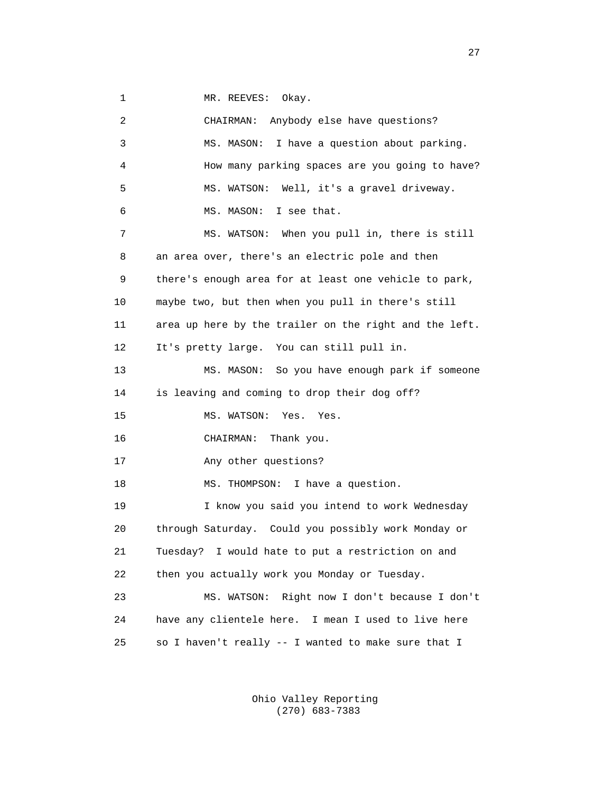1 MR. REEVES: Okay.

 2 CHAIRMAN: Anybody else have questions? 3 MS. MASON: I have a question about parking. 4 How many parking spaces are you going to have? 5 MS. WATSON: Well, it's a gravel driveway. 6 MS. MASON: I see that. 7 MS. WATSON: When you pull in, there is still 8 an area over, there's an electric pole and then 9 there's enough area for at least one vehicle to park, 10 maybe two, but then when you pull in there's still 11 area up here by the trailer on the right and the left. 12 It's pretty large. You can still pull in. 13 MS. MASON: So you have enough park if someone 14 is leaving and coming to drop their dog off? 15 MS. WATSON: Yes. Yes. 16 CHAIRMAN: Thank you. 17 Any other questions? 18 MS. THOMPSON: I have a question. 19 I know you said you intend to work Wednesday 20 through Saturday. Could you possibly work Monday or 21 Tuesday? I would hate to put a restriction on and 22 then you actually work you Monday or Tuesday. 23 MS. WATSON: Right now I don't because I don't 24 have any clientele here. I mean I used to live here 25 so I haven't really -- I wanted to make sure that I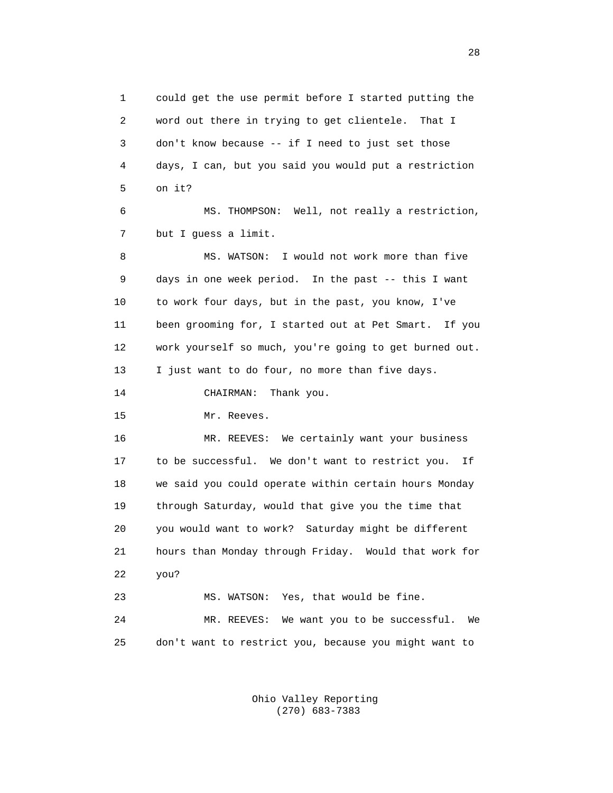1 could get the use permit before I started putting the 2 word out there in trying to get clientele. That I 3 don't know because -- if I need to just set those 4 days, I can, but you said you would put a restriction 5 on it? 6 MS. THOMPSON: Well, not really a restriction, 7 but I guess a limit. 8 MS. WATSON: I would not work more than five 9 days in one week period. In the past -- this I want 10 to work four days, but in the past, you know, I've 11 been grooming for, I started out at Pet Smart. If you 12 work yourself so much, you're going to get burned out. 13 I just want to do four, no more than five days. 14 CHAIRMAN: Thank you. 15 Mr. Reeves. 16 MR. REEVES: We certainly want your business 17 to be successful. We don't want to restrict you. If 18 we said you could operate within certain hours Monday 19 through Saturday, would that give you the time that 20 you would want to work? Saturday might be different 21 hours than Monday through Friday. Would that work for 22 you? 23 MS. WATSON: Yes, that would be fine. 24 MR. REEVES: We want you to be successful. We 25 don't want to restrict you, because you might want to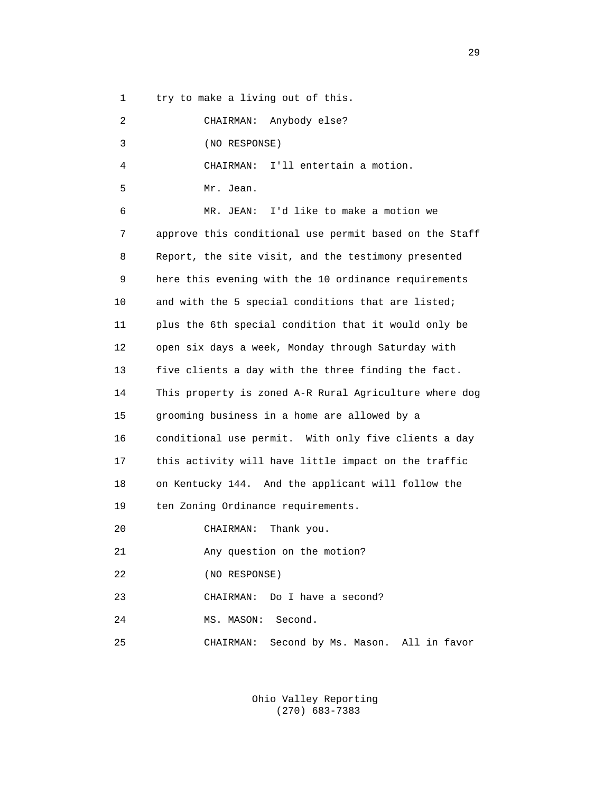1 try to make a living out of this.

 2 CHAIRMAN: Anybody else? 3 (NO RESPONSE) 4 CHAIRMAN: I'll entertain a motion. 5 Mr. Jean. 6 MR. JEAN: I'd like to make a motion we 7 approve this conditional use permit based on the Staff 8 Report, the site visit, and the testimony presented 9 here this evening with the 10 ordinance requirements 10 and with the 5 special conditions that are listed; 11 plus the 6th special condition that it would only be 12 open six days a week, Monday through Saturday with 13 five clients a day with the three finding the fact. 14 This property is zoned A-R Rural Agriculture where dog 15 grooming business in a home are allowed by a 16 conditional use permit. With only five clients a day 17 this activity will have little impact on the traffic 18 on Kentucky 144. And the applicant will follow the 19 ten Zoning Ordinance requirements. 20 CHAIRMAN: Thank you. 21 Any question on the motion? 22 (NO RESPONSE) 23 CHAIRMAN: Do I have a second?

24 MS. MASON: Second.

25 CHAIRMAN: Second by Ms. Mason. All in favor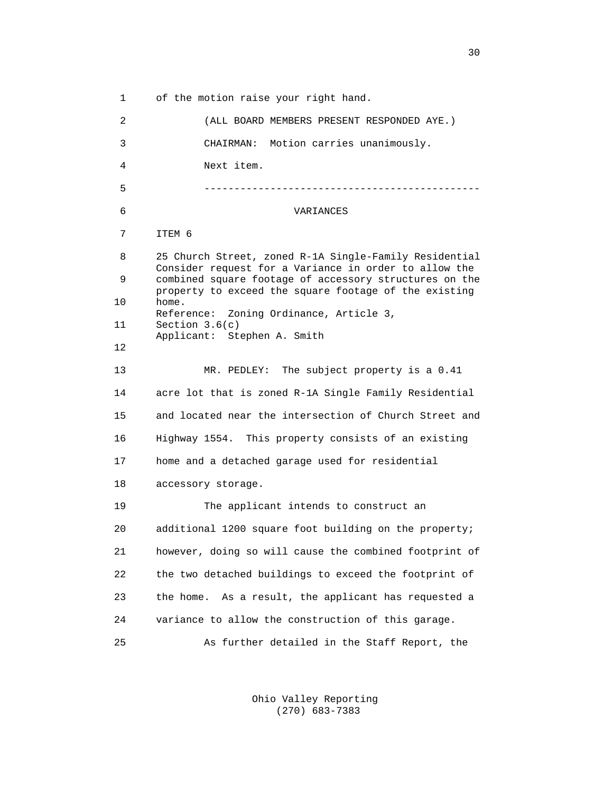1 of the motion raise your right hand. 2 (ALL BOARD MEMBERS PRESENT RESPONDED AYE.) 3 CHAIRMAN: Motion carries unanimously. 4 Next item. 5 ---------------------------------------------- 6 VARIANCES 7 ITEM 6 8 25 Church Street, zoned R-1A Single-Family Residential Consider request for a Variance in order to allow the<br>equation of accessory structures on the combined square footage of accessory structures on the property to exceed the square footage of the existing 10 home. Reference: Zoning Ordinance, Article 3,<br>11 Section 3.6(c) Section  $3.6(c)$  Applicant: Stephen A. Smith 12 13 MR. PEDLEY: The subject property is a 0.41 14 acre lot that is zoned R-1A Single Family Residential 15 and located near the intersection of Church Street and 16 Highway 1554. This property consists of an existing 17 home and a detached garage used for residential 18 accessory storage. 19 The applicant intends to construct an 20 additional 1200 square foot building on the property; 21 however, doing so will cause the combined footprint of 22 the two detached buildings to exceed the footprint of 23 the home. As a result, the applicant has requested a 24 variance to allow the construction of this garage. 25 As further detailed in the Staff Report, the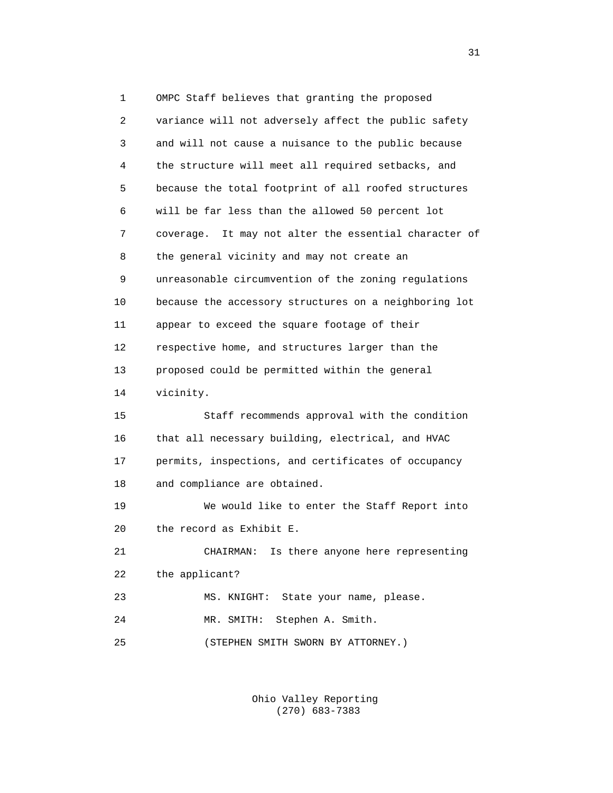1 OMPC Staff believes that granting the proposed 2 variance will not adversely affect the public safety 3 and will not cause a nuisance to the public because 4 the structure will meet all required setbacks, and 5 because the total footprint of all roofed structures 6 will be far less than the allowed 50 percent lot 7 coverage. It may not alter the essential character of 8 the general vicinity and may not create an 9 unreasonable circumvention of the zoning regulations 10 because the accessory structures on a neighboring lot 11 appear to exceed the square footage of their 12 respective home, and structures larger than the 13 proposed could be permitted within the general 14 vicinity. 15 Staff recommends approval with the condition 16 that all necessary building, electrical, and HVAC 17 permits, inspections, and certificates of occupancy 18 and compliance are obtained. 19 We would like to enter the Staff Report into 20 the record as Exhibit E. 21 CHAIRMAN: Is there anyone here representing 22 the applicant? 23 MS. KNIGHT: State your name, please. 24 MR. SMITH: Stephen A. Smith. 25 (STEPHEN SMITH SWORN BY ATTORNEY.)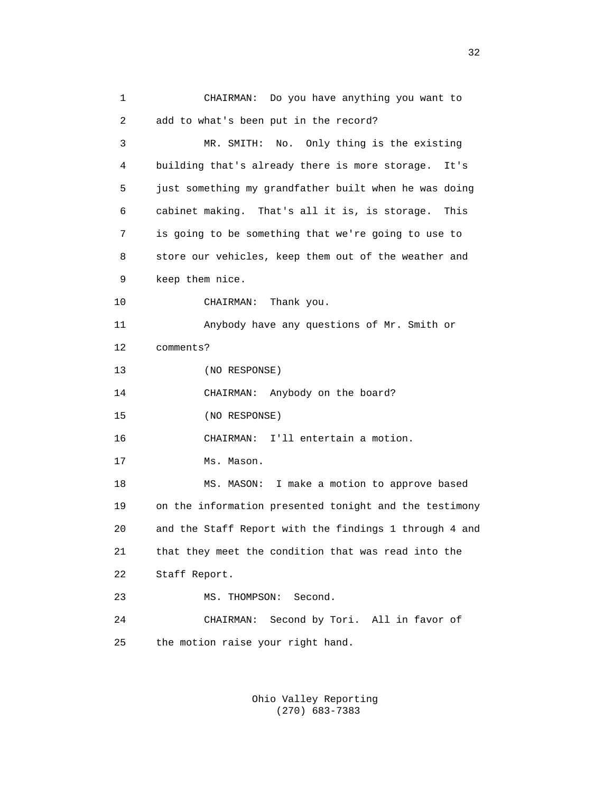1 CHAIRMAN: Do you have anything you want to 2 add to what's been put in the record? 3 MR. SMITH: No. Only thing is the existing 4 building that's already there is more storage. It's 5 just something my grandfather built when he was doing 6 cabinet making. That's all it is, is storage. This 7 is going to be something that we're going to use to 8 store our vehicles, keep them out of the weather and 9 keep them nice. 10 CHAIRMAN: Thank you. 11 Anybody have any questions of Mr. Smith or 12 comments? 13 (NO RESPONSE) 14 CHAIRMAN: Anybody on the board? 15 (NO RESPONSE) 16 CHAIRMAN: I'll entertain a motion. 17 Ms. Mason. 18 MS. MASON: I make a motion to approve based 19 on the information presented tonight and the testimony 20 and the Staff Report with the findings 1 through 4 and 21 that they meet the condition that was read into the 22 Staff Report. 23 MS. THOMPSON: Second. 24 CHAIRMAN: Second by Tori. All in favor of 25 the motion raise your right hand.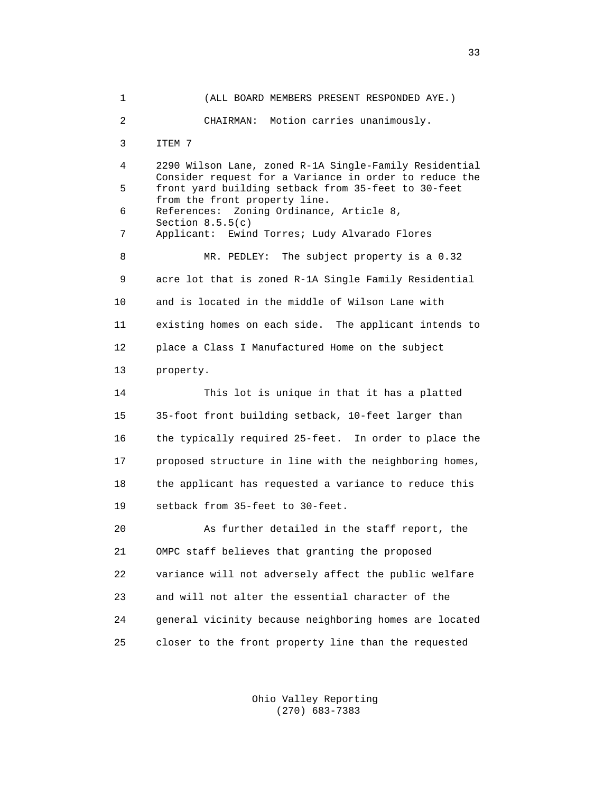1 (ALL BOARD MEMBERS PRESENT RESPONDED AYE.) 2 CHAIRMAN: Motion carries unanimously. 3 ITEM 7 4 2290 Wilson Lane, zoned R-1A Single-Family Residential Consider request for a Variance in order to reduce the<br>5 front vard building setback from 35-feet to 30-feet 5 front yard building setback from 35-feet to 30-feet from the front property line. 6 References: Zoning Ordinance, Article 8, Section 8.5.5(c)<br>7 Applicant: Ewin Applicant: Ewind Torres; Ludy Alvarado Flores 8 MR. PEDLEY: The subject property is a 0.32 9 acre lot that is zoned R-1A Single Family Residential 10 and is located in the middle of Wilson Lane with 11 existing homes on each side. The applicant intends to 12 place a Class I Manufactured Home on the subject 13 property. 14 This lot is unique in that it has a platted 15 35-foot front building setback, 10-feet larger than 16 the typically required 25-feet. In order to place the 17 proposed structure in line with the neighboring homes, 18 the applicant has requested a variance to reduce this 19 setback from 35-feet to 30-feet. 20 As further detailed in the staff report, the 21 OMPC staff believes that granting the proposed 22 variance will not adversely affect the public welfare 23 and will not alter the essential character of the 24 general vicinity because neighboring homes are located 25 closer to the front property line than the requested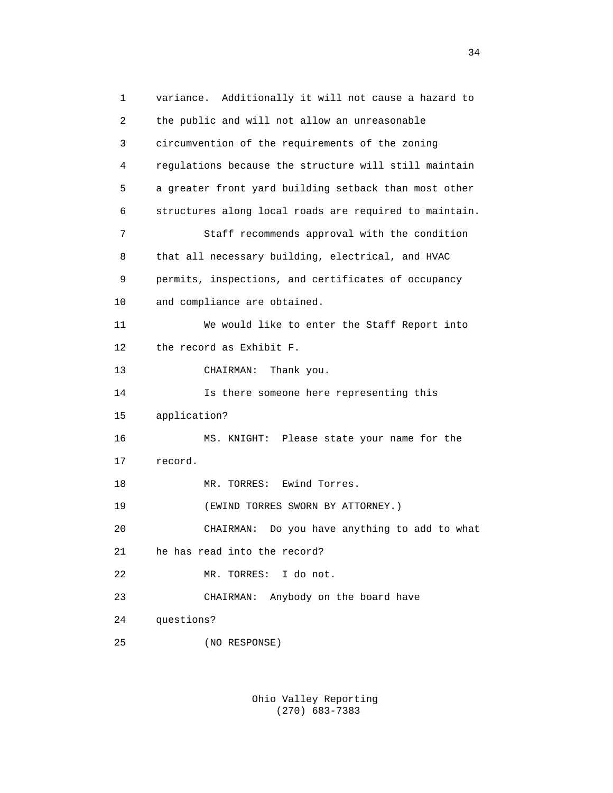1 variance. Additionally it will not cause a hazard to 2 the public and will not allow an unreasonable 3 circumvention of the requirements of the zoning 4 regulations because the structure will still maintain 5 a greater front yard building setback than most other 6 structures along local roads are required to maintain. 7 Staff recommends approval with the condition 8 that all necessary building, electrical, and HVAC 9 permits, inspections, and certificates of occupancy 10 and compliance are obtained. 11 We would like to enter the Staff Report into 12 the record as Exhibit F. 13 CHAIRMAN: Thank you. 14 Is there someone here representing this 15 application? 16 MS. KNIGHT: Please state your name for the 17 record. 18 MR. TORRES: Ewind Torres. 19 (EWIND TORRES SWORN BY ATTORNEY.) 20 CHAIRMAN: Do you have anything to add to what 21 he has read into the record? 22 MR. TORRES: I do not. 23 CHAIRMAN: Anybody on the board have 24 questions? 25 (NO RESPONSE)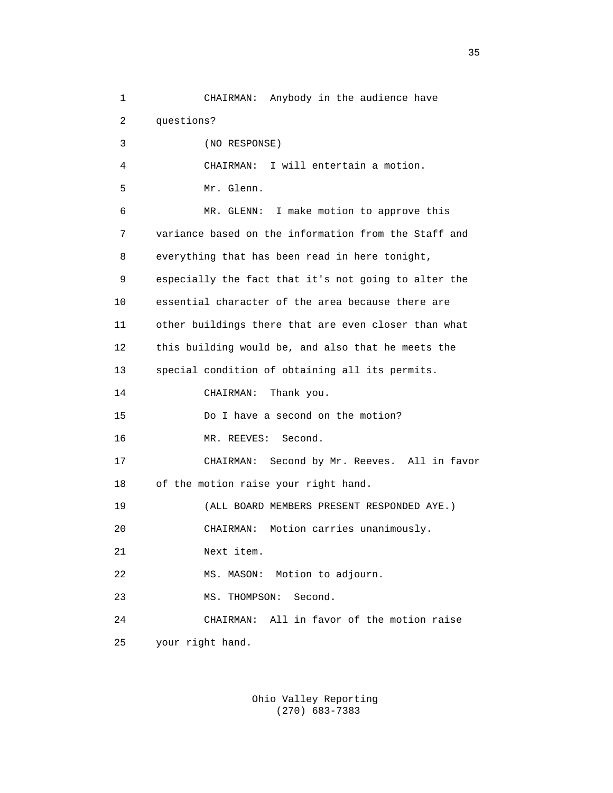1 CHAIRMAN: Anybody in the audience have 2 questions? 3 (NO RESPONSE) 4 CHAIRMAN: I will entertain a motion. 5 Mr. Glenn. 6 MR. GLENN: I make motion to approve this 7 variance based on the information from the Staff and 8 everything that has been read in here tonight, 9 especially the fact that it's not going to alter the 10 essential character of the area because there are 11 other buildings there that are even closer than what 12 this building would be, and also that he meets the 13 special condition of obtaining all its permits. 14 CHAIRMAN: Thank you. 15 Do I have a second on the motion? 16 MR. REEVES: Second. 17 CHAIRMAN: Second by Mr. Reeves. All in favor 18 of the motion raise your right hand. 19 (ALL BOARD MEMBERS PRESENT RESPONDED AYE.) 20 CHAIRMAN: Motion carries unanimously. 21 Next item. 22 MS. MASON: Motion to adjourn. 23 MS. THOMPSON: Second. 24 CHAIRMAN: All in favor of the motion raise 25 your right hand.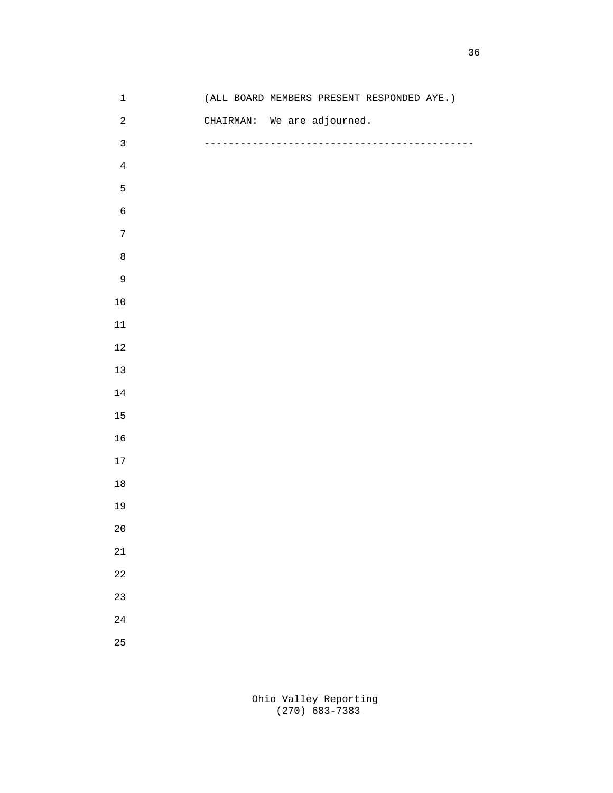| $\ensuremath{\mathbbm{1}}$ | (ALL BOARD MEMBERS PRESENT RESPONDED AYE.) |
|----------------------------|--------------------------------------------|
| $\sqrt{2}$                 | CHAIRMAN: We are adjourned.                |
| $\mathbf{3}$               | --------                                   |
| $\,4$                      |                                            |
| $\mathsf S$                |                                            |
| $\epsilon$                 |                                            |
| $\sqrt{ }$                 |                                            |
| $\,8\,$                    |                                            |
| $\mathsf 9$                |                                            |
| $10$                       |                                            |
| $11\,$                     |                                            |
| $12\,$                     |                                            |
| $13\,$                     |                                            |
| $14\,$                     |                                            |
| 15                         |                                            |
| 16                         |                                            |
| $17\,$                     |                                            |
| $18\,$                     |                                            |
| 19                         |                                            |
| $2\,0$                     |                                            |
| $2\sqrt{1}$                |                                            |
| $2\sqrt{2}$                |                                            |
| 23                         |                                            |
| $2\sqrt{4}$                |                                            |
| 25                         |                                            |